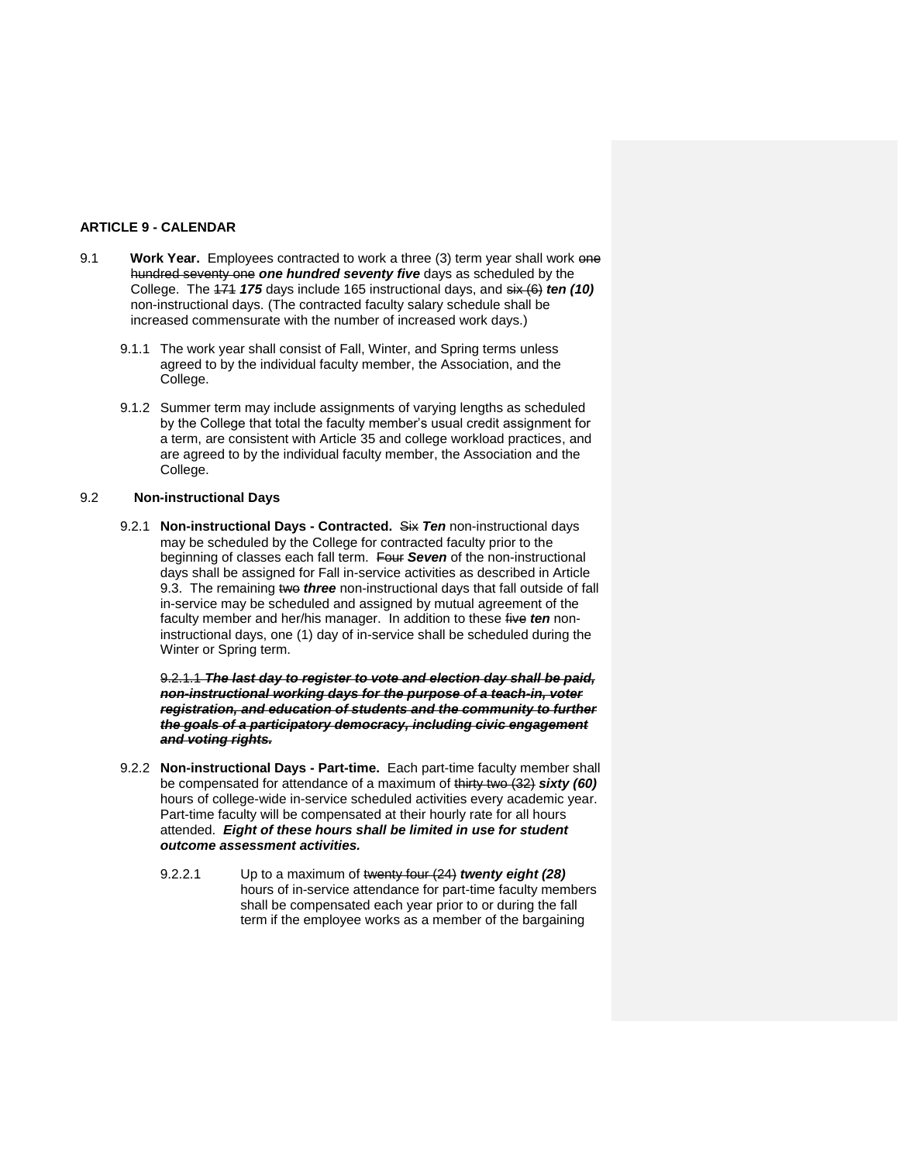## **ARTICLE 9 - CALENDAR**

- 9.1 **Work Year.** Employees contracted to work a three (3) term year shall work one hundred seventy one *one hundred seventy five* days as scheduled by the College. The 171 *175* days include 165 instructional days, and six (6) *ten (10)* non-instructional days. (The contracted faculty salary schedule shall be increased commensurate with the number of increased work days.)
	- 9.1.1 The work year shall consist of Fall, Winter, and Spring terms unless agreed to by the individual faculty member, the Association, and the College.
	- 9.1.2 Summer term may include assignments of varying lengths as scheduled by the College that total the faculty member's usual credit assignment for a term, are consistent with Article 35 and college workload practices, and are agreed to by the individual faculty member, the Association and the College.

## 9.2 **Non-instructional Days**

9.2.1 **Non-instructional Days - Contracted.** Six *Ten* non-instructional days may be scheduled by the College for contracted faculty prior to the beginning of classes each fall term. Four *Seven* of the non-instructional days shall be assigned for Fall in-service activities as described in Article 9.3. The remaining two *three* non-instructional days that fall outside of fall in-service may be scheduled and assigned by mutual agreement of the faculty member and her/his manager. In addition to these five *ten* noninstructional days, one (1) day of in-service shall be scheduled during the Winter or Spring term.

9.2.1.1 *The last day to register to vote and election day shall be paid, non-instructional working days for the purpose of a teach-in, voter registration, and education of students and the community to further the goals of a participatory democracy, including civic engagement and voting rights.*

- 9.2.2 **Non-instructional Days - Part-time.** Each part-time faculty member shall be compensated for attendance of a maximum of thirty two (32) *sixty (60)* hours of college-wide in-service scheduled activities every academic year. Part-time faculty will be compensated at their hourly rate for all hours attended. *Eight of these hours shall be limited in use for student outcome assessment activities.* 
	- 9.2.2.1 Up to a maximum of twenty four (24) *twenty eight (28)*  hours of in-service attendance for part-time faculty members shall be compensated each year prior to or during the fall term if the employee works as a member of the bargaining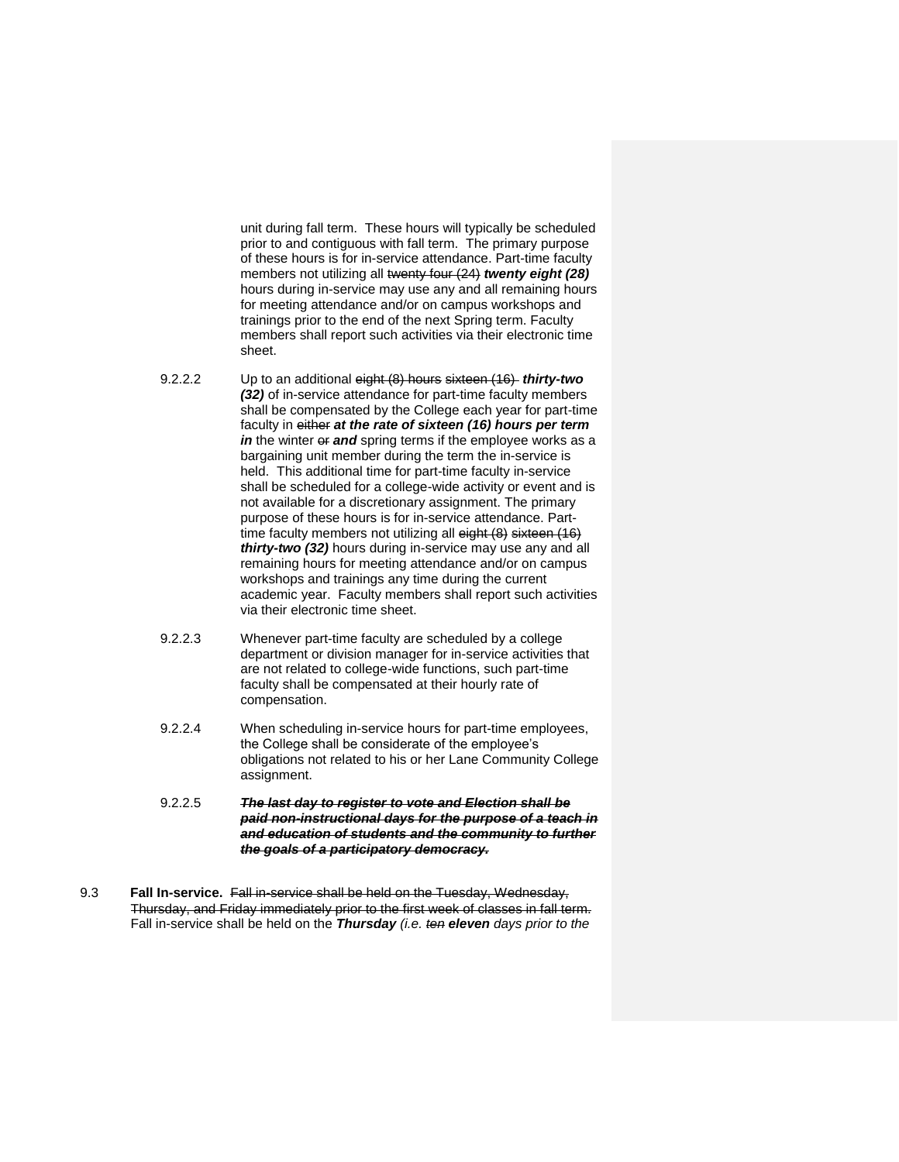unit during fall term. These hours will typically be scheduled prior to and contiguous with fall term. The primary purpose of these hours is for in-service attendance. Part-time faculty members not utilizing all twenty four (24) *twenty eight (28)* hours during in-service may use any and all remaining hours for meeting attendance and/or on campus workshops and trainings prior to the end of the next Spring term. Faculty members shall report such activities via their electronic time sheet.

- 9.2.2.2 Up to an additional eight (8) hours sixteen (16) *thirty-two (32)* of in-service attendance for part-time faculty members shall be compensated by the College each year for part-time faculty in either *at the rate of sixteen (16) hours per term in* the winter of and spring terms if the employee works as a bargaining unit member during the term the in-service is held. This additional time for part-time faculty in-service shall be scheduled for a college-wide activity or event and is not available for a discretionary assignment. The primary purpose of these hours is for in-service attendance. Parttime faculty members not utilizing all eight (8) sixteen (16) *thirty-two (32)* hours during in-service may use any and all remaining hours for meeting attendance and/or on campus workshops and trainings any time during the current academic year. Faculty members shall report such activities via their electronic time sheet.
- 9.2.2.3 Whenever part-time faculty are scheduled by a college department or division manager for in-service activities that are not related to college-wide functions, such part-time faculty shall be compensated at their hourly rate of compensation.
- 9.2.2.4 When scheduling in-service hours for part-time employees, the College shall be considerate of the employee's obligations not related to his or her Lane Community College assignment.
- 9.2.2.5 *The last day to register to vote and Election shall be paid non-instructional days for the purpose of a teach in and education of students and the community to further the goals of a participatory democracy.*
- 9.3 **Fall In-service.** Fall in-service shall be held on the Tuesday, Wednesday, Thursday, and Friday immediately prior to the first week of classes in fall term. Fall in-service shall be held on the *Thursday (i.e. ten eleven days prior to the*